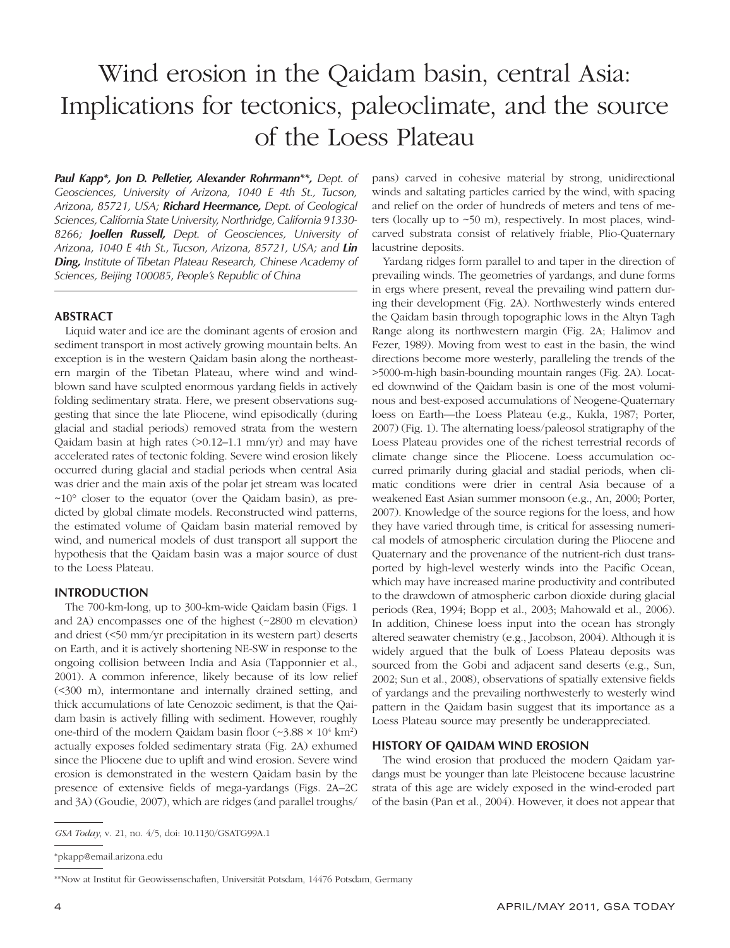# Wind erosion in the Qaidam basin, central Asia: Implications for tectonics, paleoclimate, and the source of the Loess Plateau

*Paul Kapp\*, Jon D. Pelletier, Alexander Rohrmann\*\*, Dept. of Geosciences, University of Arizona, 1040 E 4th St., Tucson, Arizona, 85721, USA; Richard Heermance, Dept. of Geological Sciences, California State University, Northridge, California 91330- 8266; Joellen Russell, Dept. of Geosciences, University of Arizona, 1040 E 4th St., Tucson, Arizona, 85721, USA; and Lin Ding, Institute of Tibetan Plateau Research, Chinese Academy of Sciences, Beijing 100085, People's Republic of China*

## **ABSTRACT**

Liquid water and ice are the dominant agents of erosion and sediment transport in most actively growing mountain belts. An exception is in the western Qaidam basin along the northeastern margin of the Tibetan Plateau, where wind and windblown sand have sculpted enormous yardang fields in actively folding sedimentary strata. Here, we present observations suggesting that since the late Pliocene, wind episodically (during glacial and stadial periods) removed strata from the western Qaidam basin at high rates (>0.12–1.1 mm/yr) and may have accelerated rates of tectonic folding. Severe wind erosion likely occurred during glacial and stadial periods when central Asia was drier and the main axis of the polar jet stream was located ~10° closer to the equator (over the Qaidam basin), as predicted by global climate models. Reconstructed wind patterns, the estimated volume of Qaidam basin material removed by wind, and numerical models of dust transport all support the hypothesis that the Qaidam basin was a major source of dust to the Loess Plateau.

## **INTRODUCTION**

The 700-km-long, up to 300-km-wide Qaidam basin (Figs. 1 and 2A) encompasses one of the highest (~2800 m elevation) and driest (<50 mm/yr precipitation in its western part) deserts on Earth, and it is actively shortening NE-SW in response to the ongoing collision between India and Asia (Tapponnier et al., 2001). A common inference, likely because of its low relief (<300 m), intermontane and internally drained setting, and thick accumulations of late Cenozoic sediment, is that the Qaidam basin is actively filling with sediment. However, roughly one-third of the modern Qaidam basin floor  $(\sim 3.88 \times 10^4 \text{ km}^2)$ actually exposes folded sedimentary strata (Fig. 2A) exhumed since the Pliocene due to uplift and wind erosion. Severe wind erosion is demonstrated in the western Qaidam basin by the presence of extensive fields of mega-yardangs (Figs. 2A–2C and 3A) (Goudie, 2007), which are ridges (and parallel troughs/

\*\*Now at Institut für Geowissenschaften, Universität Potsdam, 14476 Potsdam, Germany

pans) carved in cohesive material by strong, unidirectional winds and saltating particles carried by the wind, with spacing and relief on the order of hundreds of meters and tens of meters (locally up to  $\sim$  50 m), respectively. In most places, windcarved substrata consist of relatively friable, Plio-Quaternary lacustrine deposits.

Yardang ridges form parallel to and taper in the direction of prevailing winds. The geometries of yardangs, and dune forms in ergs where present, reveal the prevailing wind pattern during their development (Fig. 2A). Northwesterly winds entered the Qaidam basin through topographic lows in the Altyn Tagh Range along its northwestern margin (Fig. 2A; Halimov and Fezer, 1989). Moving from west to east in the basin, the wind directions become more westerly, paralleling the trends of the >5000-m-high basin-bounding mountain ranges (Fig. 2A). Located downwind of the Qaidam basin is one of the most voluminous and best-exposed accumulations of Neogene-Quaternary loess on Earth—the Loess Plateau (e.g., Kukla, 1987; Porter, 2007) (Fig. 1). The alternating loess/paleosol stratigraphy of the Loess Plateau provides one of the richest terrestrial records of climate change since the Pliocene. Loess accumulation occurred primarily during glacial and stadial periods, when climatic conditions were drier in central Asia because of a weakened East Asian summer monsoon (e.g., An, 2000; Porter, 2007). Knowledge of the source regions for the loess, and how they have varied through time, is critical for assessing numerical models of atmospheric circulation during the Pliocene and Quaternary and the provenance of the nutrient-rich dust transported by high-level westerly winds into the Pacific Ocean, which may have increased marine productivity and contributed to the drawdown of atmospheric carbon dioxide during glacial periods (Rea, 1994; Bopp et al., 2003; Mahowald et al., 2006). In addition, Chinese loess input into the ocean has strongly altered seawater chemistry (e.g., Jacobson, 2004). Although it is widely argued that the bulk of Loess Plateau deposits was sourced from the Gobi and adjacent sand deserts (e.g., Sun, 2002; Sun et al., 2008), observations of spatially extensive fields of yardangs and the prevailing northwesterly to westerly wind pattern in the Qaidam basin suggest that its importance as a Loess Plateau source may presently be underappreciated.

#### **HISTORY OF QAIDAM WIND EROSION**

The wind erosion that produced the modern Qaidam yardangs must be younger than late Pleistocene because lacustrine strata of this age are widely exposed in the wind-eroded part of the basin (Pan et al., 2004). However, it does not appear that

*GSA Today*, v. 21, no. 4/5, doi: 10.1130/GSATG99A.1

<sup>\*</sup>pkapp@email.arizona.edu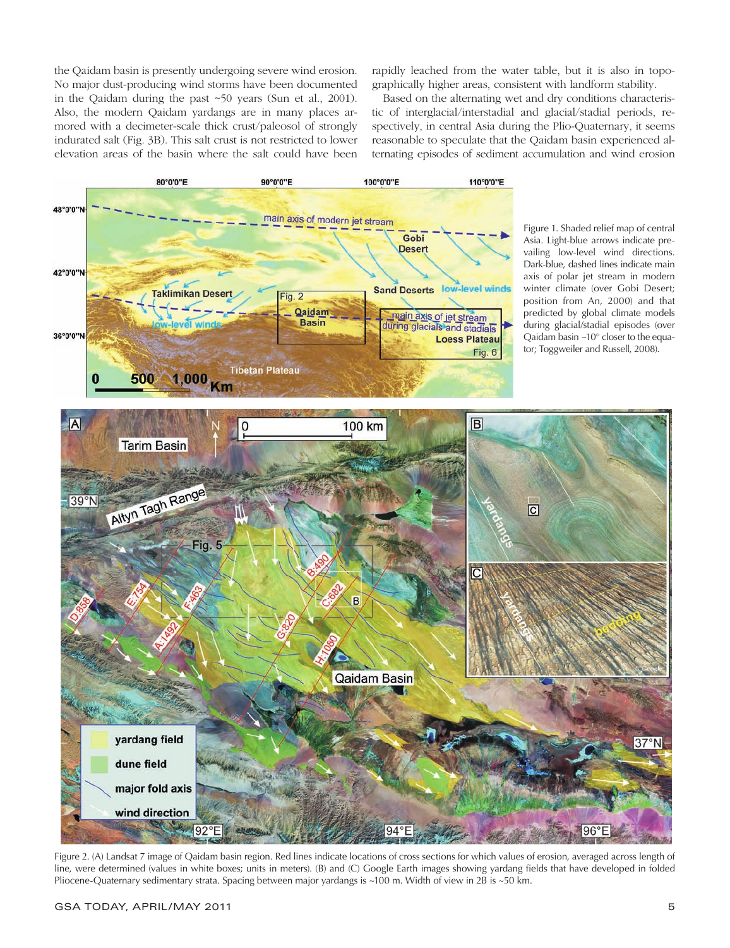the Qaidam basin is presently undergoing severe wind erosion. No major dust-producing wind storms have been documented in the Qaidam during the past ~50 years (Sun et al., 2001). Also, the modern Qaidam yardangs are in many places armored with a decimeter-scale thick crust/paleosol of strongly indurated salt (Fig. 3B). This salt crust is not restricted to lower elevation areas of the basin where the salt could have been rapidly leached from the water table, but it is also in topographically higher areas, consistent with landform stability.

Based on the alternating wet and dry conditions characteristic of interglacial/interstadial and glacial/stadial periods, respectively, in central Asia during the Plio-Quaternary, it seems reasonable to speculate that the Qaidam basin experienced alternating episodes of sediment accumulation and wind erosion



Figure 1. Shaded relief map of central Asia. Light-blue arrows indicate prevailing low-level wind directions. Dark-blue, dashed lines indicate main axis of polar jet stream in modern winter climate (over Gobi Desert; position from An, 2000) and that predicted by global climate models during glacial/stadial episodes (over Qaidam basin ~10° closer to the equator; Toggweiler and Russell, 2008).



Figure 2. (A) Landsat 7 image of Qaidam basin region. Red lines indicate locations of cross sections for which values of erosion, averaged across length of line, were determined (values in white boxes; units in meters). (B) and (C) Google Earth images showing yardang fields that have developed in folded Pliocene-Quaternary sedimentary strata. Spacing between major yardangs is ~100 m. Width of view in 2B is ~50 km.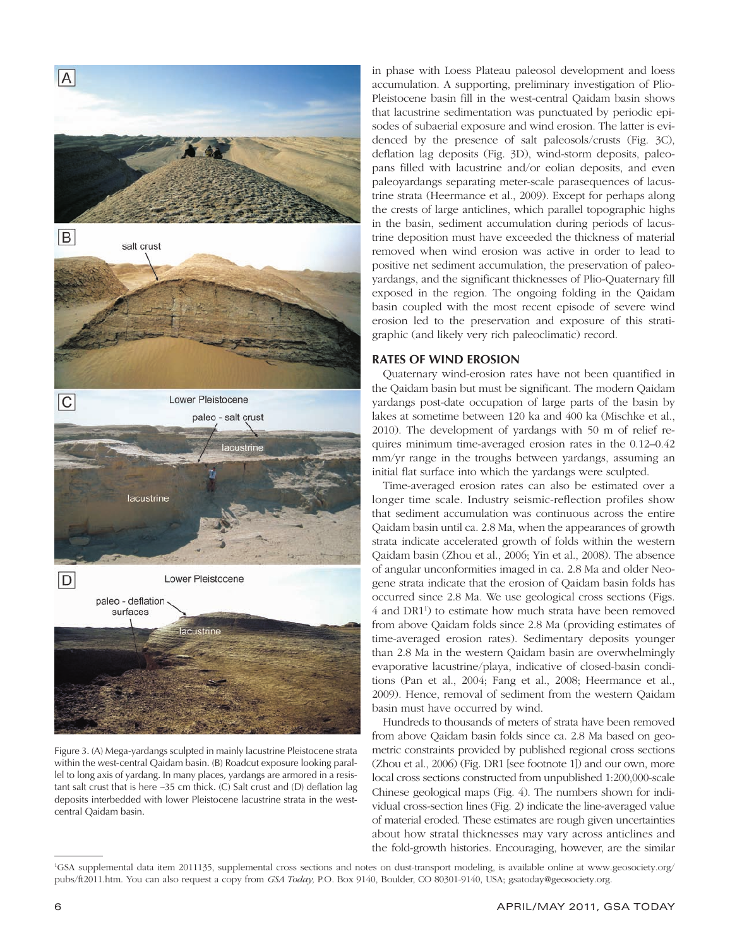

Figure 3. (A) Mega-yardangs sculpted in mainly lacustrine Pleistocene strata within the west-central Qaidam basin. (B) Roadcut exposure looking parallel to long axis of yardang. In many places, yardangs are armored in a resistant salt crust that is here ~35 cm thick. (C) Salt crust and (D) deflation lag deposits interbedded with lower Pleistocene lacustrine strata in the westcentral Qaidam basin.

in phase with Loess Plateau paleosol development and loess accumulation. A supporting, preliminary investigation of Plio-Pleistocene basin fill in the west-central Qaidam basin shows that lacustrine sedimentation was punctuated by periodic episodes of subaerial exposure and wind erosion. The latter is evidenced by the presence of salt paleosols/crusts (Fig. 3C), deflation lag deposits (Fig. 3D), wind-storm deposits, paleopans filled with lacustrine and/or eolian deposits, and even paleoyardangs separating meter-scale parasequences of lacustrine strata (Heermance et al., 2009). Except for perhaps along the crests of large anticlines, which parallel topographic highs in the basin, sediment accumulation during periods of lacustrine deposition must have exceeded the thickness of material removed when wind erosion was active in order to lead to positive net sediment accumulation, the preservation of paleoyardangs, and the significant thicknesses of Plio-Quaternary fill exposed in the region. The ongoing folding in the Qaidam basin coupled with the most recent episode of severe wind erosion led to the preservation and exposure of this stratigraphic (and likely very rich paleoclimatic) record.

# **RATES OF WIND EROSION**

Quaternary wind-erosion rates have not been quantified in the Qaidam basin but must be significant. The modern Qaidam yardangs post-date occupation of large parts of the basin by lakes at sometime between 120 ka and 400 ka (Mischke et al., 2010). The development of yardangs with 50 m of relief requires minimum time-averaged erosion rates in the 0.12–0.42 mm/yr range in the troughs between yardangs, assuming an initial flat surface into which the yardangs were sculpted.

Time-averaged erosion rates can also be estimated over a longer time scale. Industry seismic-reflection profiles show that sediment accumulation was continuous across the entire Qaidam basin until ca. 2.8 Ma, when the appearances of growth strata indicate accelerated growth of folds within the western Qaidam basin (Zhou et al., 2006; Yin et al., 2008). The absence of angular unconformities imaged in ca. 2.8 Ma and older Neogene strata indicate that the erosion of Qaidam basin folds has occurred since 2.8 Ma. We use geological cross sections (Figs. 4 and DR1<sup>1</sup>) to estimate how much strata have been removed from above Qaidam folds since 2.8 Ma (providing estimates of time-averaged erosion rates). Sedimentary deposits younger than 2.8 Ma in the western Qaidam basin are overwhelmingly evaporative lacustrine/playa, indicative of closed-basin conditions (Pan et al., 2004; Fang et al., 2008; Heermance et al., 2009). Hence, removal of sediment from the western Qaidam basin must have occurred by wind.

Hundreds to thousands of meters of strata have been removed from above Qaidam basin folds since ca. 2.8 Ma based on geometric constraints provided by published regional cross sections (Zhou et al., 2006) (Fig. DR1 [see footnote 1]) and our own, more local cross sections constructed from unpublished 1:200,000-scale Chinese geological maps (Fig. 4). The numbers shown for individual cross-section lines (Fig. 2) indicate the line-averaged value of material eroded. These estimates are rough given uncertainties about how stratal thicknesses may vary across anticlines and the fold-growth histories. Encouraging, however, are the similar

<sup>1</sup> GSA supplemental data item 2011135, supplemental cross sections and notes on dust-transport modeling, is available online at www.geosociety.org/ pubs/ft2011.htm. You can also request a copy from *GSA Today,* P.O. Box 9140, Boulder, CO 80301-9140, USA; gsatoday@geosociety.org.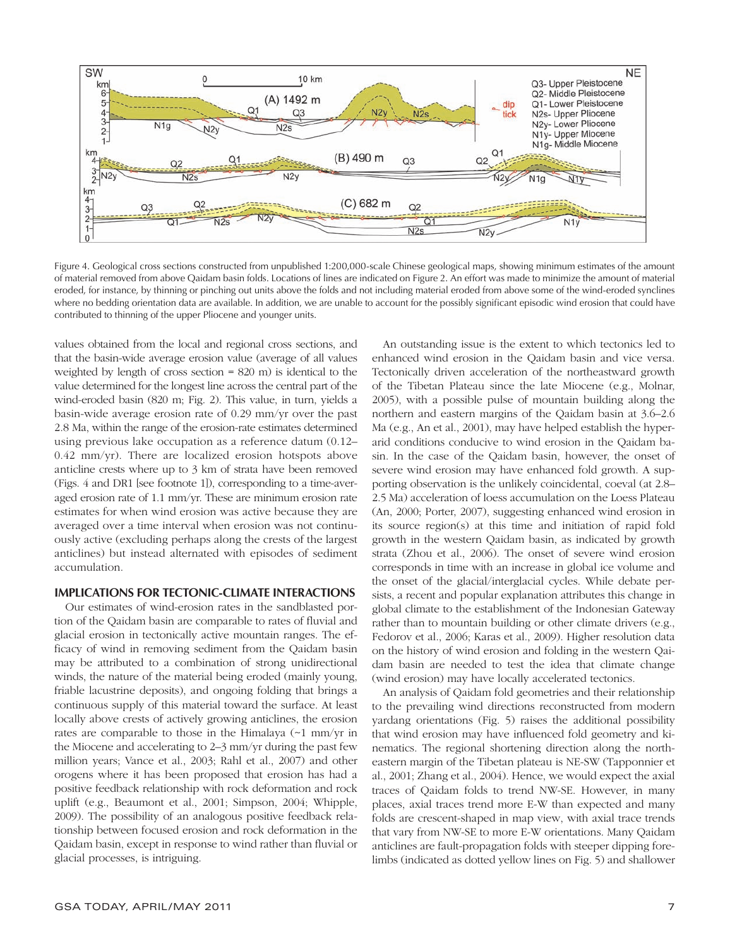

Figure 4. Geological cross sections constructed from unpublished 1:200,000-scale Chinese geological maps, showing minimum estimates of the amount of material removed from above Qaidam basin folds. Locations of lines are indicated on Figure 2. An effort was made to minimize the amount of material eroded, for instance, by thinning or pinching out units above the folds and not including material eroded from above some of the wind-eroded synclines where no bedding orientation data are available. In addition, we are unable to account for the possibly significant episodic wind erosion that could have contributed to thinning of the upper Pliocene and younger units.

values obtained from the local and regional cross sections, and that the basin-wide average erosion value (average of all values weighted by length of cross section = 820 m) is identical to the value determined for the longest line across the central part of the wind-eroded basin (820 m; Fig. 2). This value, in turn, yields a basin-wide average erosion rate of 0.29 mm/yr over the past 2.8 Ma, within the range of the erosion-rate estimates determined using previous lake occupation as a reference datum (0.12– 0.42 mm/yr). There are localized erosion hotspots above anticline crests where up to 3 km of strata have been removed (Figs. 4 and DR1 [see footnote 1]), corresponding to a time-averaged erosion rate of 1.1 mm/yr. These are minimum erosion rate estimates for when wind erosion was active because they are averaged over a time interval when erosion was not continuously active (excluding perhaps along the crests of the largest anticlines) but instead alternated with episodes of sediment accumulation.

## **IMPLICATIONS FOR TECTONIC-CLIMATE INTERACTIONS**

Our estimates of wind-erosion rates in the sandblasted portion of the Qaidam basin are comparable to rates of fluvial and glacial erosion in tectonically active mountain ranges. The efficacy of wind in removing sediment from the Qaidam basin may be attributed to a combination of strong unidirectional winds, the nature of the material being eroded (mainly young, friable lacustrine deposits), and ongoing folding that brings a continuous supply of this material toward the surface. At least locally above crests of actively growing anticlines, the erosion rates are comparable to those in the Himalaya (~1 mm/yr in the Miocene and accelerating to 2–3 mm/yr during the past few million years; Vance et al., 2003; Rahl et al., 2007) and other orogens where it has been proposed that erosion has had a positive feedback relationship with rock deformation and rock uplift (e.g., Beaumont et al., 2001; Simpson, 2004; Whipple, 2009). The possibility of an analogous positive feedback relationship between focused erosion and rock deformation in the Qaidam basin, except in response to wind rather than fluvial or glacial processes, is intriguing.

An outstanding issue is the extent to which tectonics led to enhanced wind erosion in the Qaidam basin and vice versa. Tectonically driven acceleration of the northeastward growth of the Tibetan Plateau since the late Miocene (e.g., Molnar, 2005), with a possible pulse of mountain building along the northern and eastern margins of the Qaidam basin at 3.6–2.6 Ma (e.g., An et al., 2001), may have helped establish the hyperarid conditions conducive to wind erosion in the Qaidam basin. In the case of the Qaidam basin, however, the onset of severe wind erosion may have enhanced fold growth. A supporting observation is the unlikely coincidental, coeval (at 2.8– 2.5 Ma) acceleration of loess accumulation on the Loess Plateau (An, 2000; Porter, 2007), suggesting enhanced wind erosion in its source region(s) at this time and initiation of rapid fold growth in the western Qaidam basin, as indicated by growth strata (Zhou et al., 2006). The onset of severe wind erosion corresponds in time with an increase in global ice volume and the onset of the glacial/interglacial cycles. While debate persists, a recent and popular explanation attributes this change in global climate to the establishment of the Indonesian Gateway rather than to mountain building or other climate drivers (e.g., Fedorov et al., 2006; Karas et al., 2009). Higher resolution data on the history of wind erosion and folding in the western Qaidam basin are needed to test the idea that climate change (wind erosion) may have locally accelerated tectonics.

An analysis of Qaidam fold geometries and their relationship to the prevailing wind directions reconstructed from modern yardang orientations (Fig. 5) raises the additional possibility that wind erosion may have influenced fold geometry and kinematics. The regional shortening direction along the northeastern margin of the Tibetan plateau is NE-SW (Tapponnier et al., 2001; Zhang et al., 2004). Hence, we would expect the axial traces of Qaidam folds to trend NW-SE. However, in many places, axial traces trend more E-W than expected and many folds are crescent-shaped in map view, with axial trace trends that vary from NW-SE to more E-W orientations. Many Qaidam anticlines are fault-propagation folds with steeper dipping forelimbs (indicated as dotted yellow lines on Fig. 5) and shallower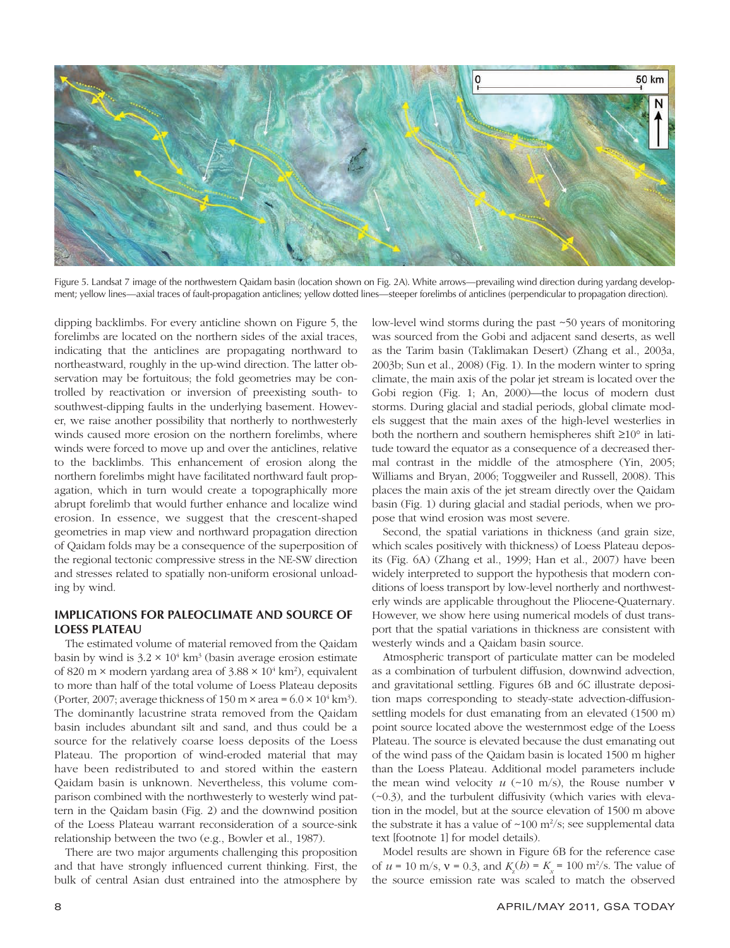

Figure 5. Landsat 7 image of the northwestern Qaidam basin (location shown on Fig. 2A). White arrows—prevailing wind direction during yardang development; yellow lines—axial traces of fault-propagation anticlines; yellow dotted lines—steeper forelimbs of anticlines (perpendicular to propagation direction).

dipping backlimbs. For every anticline shown on Figure 5, the forelimbs are located on the northern sides of the axial traces, indicating that the anticlines are propagating northward to northeastward, roughly in the up-wind direction. The latter observation may be fortuitous; the fold geometries may be controlled by reactivation or inversion of preexisting south- to southwest-dipping faults in the underlying basement. However, we raise another possibility that northerly to northwesterly winds caused more erosion on the northern forelimbs, where winds were forced to move up and over the anticlines, relative to the backlimbs. This enhancement of erosion along the northern forelimbs might have facilitated northward fault propagation, which in turn would create a topographically more abrupt forelimb that would further enhance and localize wind erosion. In essence, we suggest that the crescent-shaped geometries in map view and northward propagation direction of Qaidam folds may be a consequence of the superposition of the regional tectonic compressive stress in the NE-SW direction and stresses related to spatially non-uniform erosional unloading by wind.

# **IMPLICATIONS FOR PALEOCLIMATE AND SOURCE OF LOESS PLATEAU**

The estimated volume of material removed from the Qaidam basin by wind is  $3.2 \times 10^4$  km<sup>3</sup> (basin average erosion estimate of 820 m  $\times$  modern yardang area of 3.88  $\times$  10<sup>4</sup> km<sup>2</sup>), equivalent to more than half of the total volume of Loess Plateau deposits (Porter, 2007; average thickness of  $150 \text{ m} \times \text{area} = 6.0 \times 10^4 \text{ km}^3$ ). The dominantly lacustrine strata removed from the Qaidam basin includes abundant silt and sand, and thus could be a source for the relatively coarse loess deposits of the Loess Plateau. The proportion of wind-eroded material that may have been redistributed to and stored within the eastern Qaidam basin is unknown. Nevertheless, this volume comparison combined with the northwesterly to westerly wind pattern in the Qaidam basin (Fig. 2) and the downwind position of the Loess Plateau warrant reconsideration of a source-sink relationship between the two (e.g., Bowler et al., 1987).

There are two major arguments challenging this proposition and that have strongly influenced current thinking. First, the bulk of central Asian dust entrained into the atmosphere by

low-level wind storms during the past ~50 years of monitoring was sourced from the Gobi and adjacent sand deserts, as well as the Tarim basin (Taklimakan Desert) (Zhang et al., 2003a, 2003b; Sun et al., 2008) (Fig. 1). In the modern winter to spring climate, the main axis of the polar jet stream is located over the Gobi region (Fig. 1; An, 2000)—the locus of modern dust storms. During glacial and stadial periods, global climate models suggest that the main axes of the high-level westerlies in both the northern and southern hemispheres shift ≥10° in latitude toward the equator as a consequence of a decreased thermal contrast in the middle of the atmosphere (Yin, 2005; Williams and Bryan, 2006; Toggweiler and Russell, 2008). This places the main axis of the jet stream directly over the Qaidam basin (Fig. 1) during glacial and stadial periods, when we propose that wind erosion was most severe.

Second, the spatial variations in thickness (and grain size, which scales positively with thickness) of Loess Plateau deposits (Fig. 6A) (Zhang et al., 1999; Han et al., 2007) have been widely interpreted to support the hypothesis that modern conditions of loess transport by low-level northerly and northwesterly winds are applicable throughout the Pliocene-Quaternary. However, we show here using numerical models of dust transport that the spatial variations in thickness are consistent with westerly winds and a Qaidam basin source.

Atmospheric transport of particulate matter can be modeled as a combination of turbulent diffusion, downwind advection, and gravitational settling. Figures 6B and 6C illustrate deposition maps corresponding to steady-state advection-diffusionsettling models for dust emanating from an elevated (1500 m) point source located above the westernmost edge of the Loess Plateau. The source is elevated because the dust emanating out of the wind pass of the Qaidam basin is located 1500 m higher than the Loess Plateau. Additional model parameters include the mean wind velocity  $u$  (~10 m/s), the Rouse number  $v$ (~0.3), and the turbulent diffusivity (which varies with elevation in the model, but at the source elevation of 1500 m above the substrate it has a value of  $\sim 100 \text{ m}^2/\text{s}$ ; see supplemental data text [footnote 1] for model details).

Model results are shown in Figure 6B for the reference case of  $u = 10 \text{ m/s}, v = 0.3$ , and  $K_z(b) = K_x = 100 \text{ m}^2/\text{s}$ . The value of the source emission rate was scaled to match the observed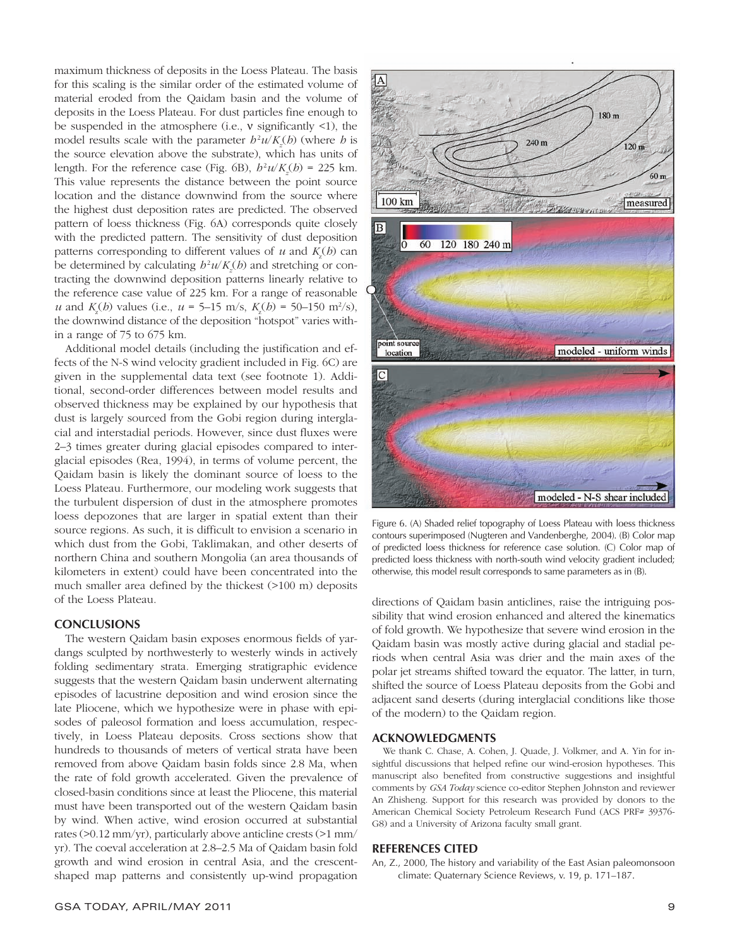maximum thickness of deposits in the Loess Plateau. The basis for this scaling is the similar order of the estimated volume of material eroded from the Qaidam basin and the volume of deposits in the Loess Plateau. For dust particles fine enough to be suspended in the atmosphere (i.e., ν significantly <1), the model results scale with the parameter  $h^2 u / K_z(h)$  (where *h* is the source elevation above the substrate), which has units of length. For the reference case (Fig. 6B),  $h^2 u / K_z(h) = 225$  km. This value represents the distance between the point source location and the distance downwind from the source where the highest dust deposition rates are predicted. The observed pattern of loess thickness (Fig. 6A) corresponds quite closely with the predicted pattern. The sensitivity of dust deposition patterns corresponding to different values of  $u$  and  $K_z(h)$  can be determined by calculating  $b^2 u / K_z(b)$  and stretching or contracting the downwind deposition patterns linearly relative to the reference case value of 225 km. For a range of reasonable *u* and  $K_z(b)$  values (i.e.,  $u = 5{\text -}15$  m/s,  $K_z(b) = 50{\text -}150$  m<sup>2</sup>/s), the downwind distance of the deposition "hotspot" varies within a range of 75 to 675 km.

Additional model details (including the justification and effects of the N-S wind velocity gradient included in Fig. 6C) are given in the supplemental data text (see footnote 1). Additional, second-order differences between model results and observed thickness may be explained by our hypothesis that dust is largely sourced from the Gobi region during interglacial and interstadial periods. However, since dust fluxes were 2–3 times greater during glacial episodes compared to interglacial episodes (Rea, 1994), in terms of volume percent, the Qaidam basin is likely the dominant source of loess to the Loess Plateau. Furthermore, our modeling work suggests that the turbulent dispersion of dust in the atmosphere promotes loess depozones that are larger in spatial extent than their source regions. As such, it is difficult to envision a scenario in which dust from the Gobi, Taklimakan, and other deserts of northern China and southern Mongolia (an area thousands of kilometers in extent) could have been concentrated into the much smaller area defined by the thickest (>100 m) deposits of the Loess Plateau.

## **CONCLUSIONS**

The western Qaidam basin exposes enormous fields of yardangs sculpted by northwesterly to westerly winds in actively folding sedimentary strata. Emerging stratigraphic evidence suggests that the western Qaidam basin underwent alternating episodes of lacustrine deposition and wind erosion since the late Pliocene, which we hypothesize were in phase with episodes of paleosol formation and loess accumulation, respectively, in Loess Plateau deposits. Cross sections show that hundreds to thousands of meters of vertical strata have been removed from above Qaidam basin folds since 2.8 Ma, when the rate of fold growth accelerated. Given the prevalence of closed-basin conditions since at least the Pliocene, this material must have been transported out of the western Qaidam basin by wind. When active, wind erosion occurred at substantial rates (>0.12 mm/yr), particularly above anticline crests (>1 mm/ yr). The coeval acceleration at 2.8–2.5 Ma of Qaidam basin fold growth and wind erosion in central Asia, and the crescentshaped map patterns and consistently up-wind propagation



Figure 6. (A) Shaded relief topography of Loess Plateau with loess thickness contours superimposed (Nugteren and Vandenberghe, 2004). (B) Color map of predicted loess thickness for reference case solution. (C) Color map of predicted loess thickness with north-south wind velocity gradient included; otherwise, this model result corresponds to same parameters as in (B).

directions of Qaidam basin anticlines, raise the intriguing possibility that wind erosion enhanced and altered the kinematics of fold growth. We hypothesize that severe wind erosion in the Qaidam basin was mostly active during glacial and stadial periods when central Asia was drier and the main axes of the polar jet streams shifted toward the equator. The latter, in turn, shifted the source of Loess Plateau deposits from the Gobi and adjacent sand deserts (during interglacial conditions like those of the modern) to the Qaidam region.

#### **ACKNOWLEDGMENTS**

We thank C. Chase, A. Cohen, J. Quade, J. Volkmer, and A. Yin for insightful discussions that helped refine our wind-erosion hypotheses. This manuscript also benefited from constructive suggestions and insightful comments by *GSA Today* science co-editor Stephen Johnston and reviewer An Zhisheng. Support for this research was provided by donors to the American Chemical Society Petroleum Research Fund (ACS PRF# 39376- G8) and a University of Arizona faculty small grant.

#### **REFERENCES CITED**

An, Z., 2000, The history and variability of the East Asian paleomonsoon climate: Quaternary Science Reviews, v. 19, p. 171–187.